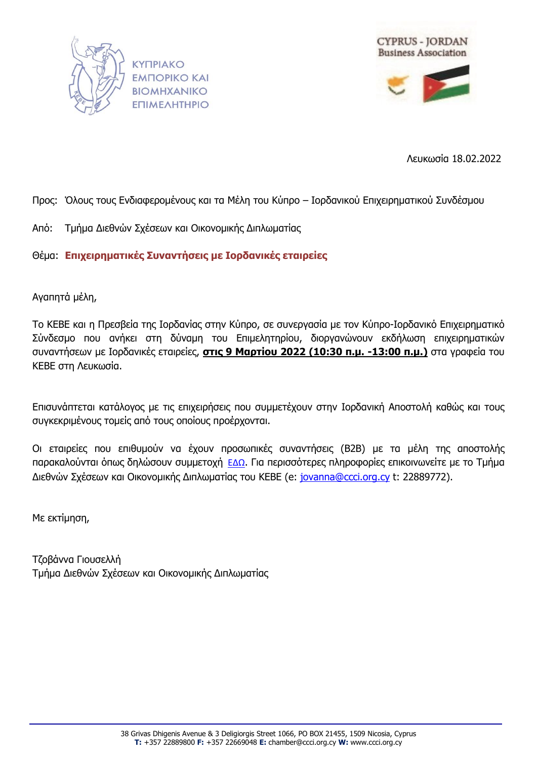



Λευκωσία 18.02.2022

## Προς: Όλους τους Ενδιαφερομένους και τα Μέλη του Κύπρο – Ιορδανικού Επιχειρηματικού Συνδέσμου

Από: Τμήμα Διεθνών Σχέσεων και Οικονομικής Διπλωματίας

Θέμα: **Επιχειρηματικές Συναντήσεις με Ιορδανικές εταιρείες** 

Αγαπητά μέλη,

Το ΚΕΒΕ και η Πρεσβεία της Ιορδανίας στην Κύπρο, σε συνεργασία με τον Κύπρο-Ιορδανικό Επιχειρηματικό Σύνδεσμο που ανήκει στη δύναμη του Επιμελητηρίου, διοργανώνουν εκδήλωση επιχειρηματικών συναντήσεων με Ιορδανικές εταιρείες, **στις 9 Μαρτίου 2022 (10:30 π.μ. -13:00 π.μ.)** στα γραφεία του ΚΕΒΕ στη Λευκωσία.

Επισυνάπτεται κατάλογος με τις επιχειρήσεις που συμμετέχουν στην Ιορδανική Αποστολή καθώς και τους συγκεκριμένους τομείς από τους οποίους προέρχονται.

Οι εταιρείες που επιθυμούν να έχουν προσωπικές συναντήσεις (Β2Β) με τα μέλη της αποστολής παρακαλούνται όπως δηλώσουν συμμετοχή [ΕΔΩ](https://forms.ccci.org.cy/incoming-jordan22/). Για περισσότερες πληροφορίες επικοινωνείτε με το Τμήμα Διεθνών Σχέσεων και Οικονομικής Διπλωματίας του ΚΕΒΕ (e: [jovanna@ccci.org.cy](mailto:jovanna@ccci.org.cy) t: 22889772).

Με εκτίμηση,

Τζοβάννα Γιουσελλή Τμήμα Διεθνών Σχέσεων και Οικονομικής Διπλωματίας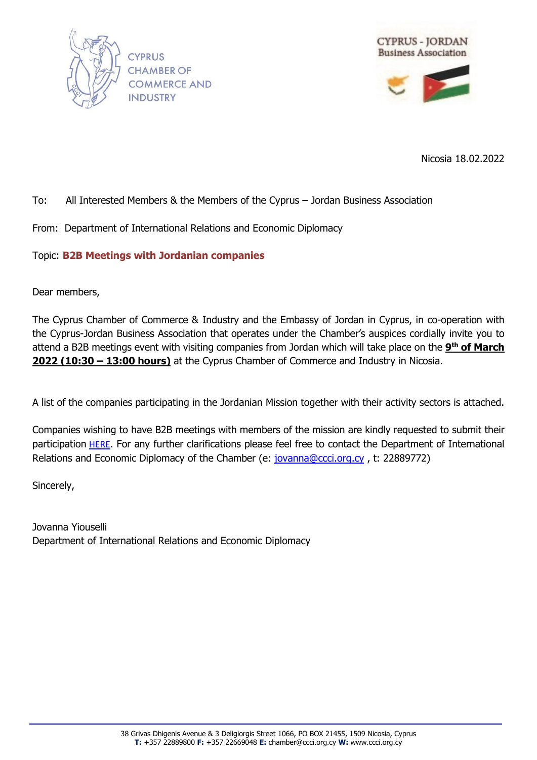



Nicosia 18.02.2022

## To: All Interested Members & the Members of the Cyprus – Jordan Business Association

From: Department of International Relations and Economic Diplomacy

Topic: **B2B Meetings with Jordanian companies** 

Dear members,

The Cyprus Chamber of Commerce & Industry and the Embassy of Jordan in Cyprus, in co-operation with the Cyprus-Jordan Business Association that operates under the Chamber's auspices cordially invite you to attend a B2B meetings event with visiting companies from Jordan which will take place on the **9 th of March 2022 (10:30 – 13:00 hours)** at the Cyprus Chamber of Commerce and Industry in Nicosia.

A list of the companies participating in the Jordanian Mission together with their activity sectors is attached.

Companies wishing to have B2B meetings with members of the mission are kindly requested to submit their participation [HERE](https://forms.ccci.org.cy/incoming-jordan22/). For any further clarifications please feel free to contact the Department of International Relations and Economic Diplomacy of the Chamber (e: [jovanna@ccci.org.cy](mailto:jovanna@ccci.org.cy), t: 22889772)

Sincerely,

Jovanna Yiouselli Department of International Relations and Economic Diplomacy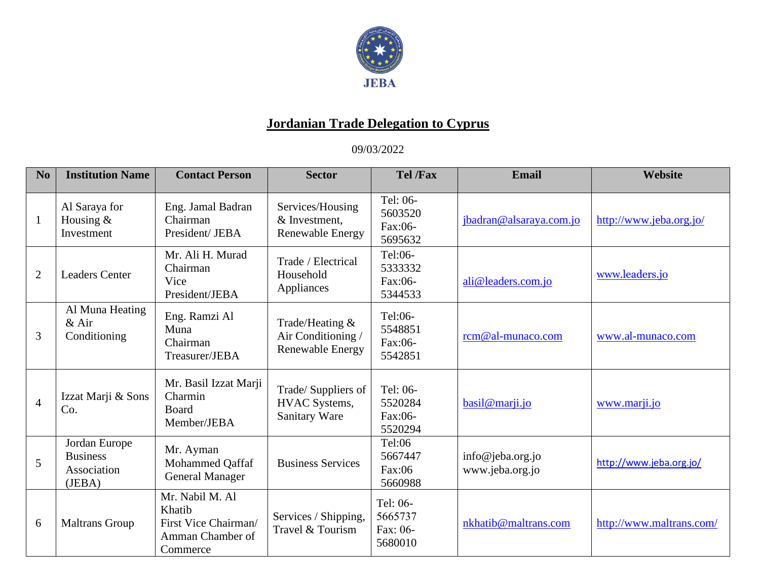

## **Jordanian Trade Delegation to Cyprus**

09/03/2022

| No             | <b>Institution Name</b>                                   | <b>Contact Person</b>                                                             | <b>Sector</b>                                                    | <b>Tel</b> / <b>Fax</b>                    | Email                               | Website                  |
|----------------|-----------------------------------------------------------|-----------------------------------------------------------------------------------|------------------------------------------------------------------|--------------------------------------------|-------------------------------------|--------------------------|
| $\mathbf{1}$   | Al Saraya for<br>Housing $&$<br>Investment                | Eng. Jamal Badran<br>Chairman<br>President/ JEBA                                  | Services/Housing<br>& Investment.<br><b>Renewable Energy</b>     | Tel: 06-<br>5603520<br>Fax:06-<br>5695632  | jbadran@alsaraya.com.jo             | http://www.jeba.org.jo/  |
| $\overline{2}$ | <b>Leaders Center</b>                                     | Mr. Ali H. Murad<br>Chairman<br>Vice<br>President/JEBA                            | Trade / Electrical<br>Household<br>Appliances                    | Tel:06-<br>5333332<br>Fax:06-<br>5344533   | ali@leaders.com.jo                  | www.leaders.jo           |
| 3              | Al Muna Heating<br>$&$ Air<br>Conditioning                | Eng. Ramzi Al<br>Muna<br>Chairman<br>Treasurer/JEBA                               | Trade/Heating &<br>Air Conditioning /<br><b>Renewable Energy</b> | Tel:06-<br>5548851<br>Fax:06-<br>5542851   | rcm@al-munaco.com                   | www.al-munaco.com        |
| $\overline{4}$ | Izzat Marji & Sons<br>Co.                                 | Mr. Basil Izzat Marji<br>Charmin<br>Board<br>Member/JEBA                          | Trade/ Suppliers of<br><b>HVAC</b> Systems,<br>Sanitary Ware     | Tel: 06-<br>5520284<br>Fax:06-<br>5520294  | basil@marji.jo                      | www.marji.jo             |
| 5              | Jordan Europe<br><b>Business</b><br>Association<br>(JEBA) | Mr. Ayman<br>Mohammed Qaffaf<br><b>General Manager</b>                            | <b>Business Services</b>                                         | Tel:06<br>5667447<br>Fax:06<br>5660988     | info@jeba.org.jo<br>www.jeba.org.jo | http://www.jeba.org.jo/  |
| 6              | <b>Maltrans Group</b>                                     | Mr. Nabil M. Al<br>Khatib<br>First Vice Chairman/<br>Amman Chamber of<br>Commerce | Services / Shipping,<br>Travel & Tourism                         | Tel: 06-<br>5665737<br>Fax: 06-<br>5680010 | nkhatib@maltrans.com                | http://www.maltrans.com/ |